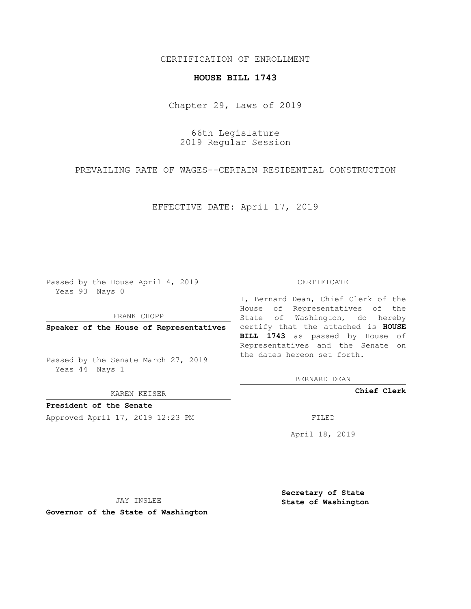### CERTIFICATION OF ENROLLMENT

## **HOUSE BILL 1743**

Chapter 29, Laws of 2019

66th Legislature 2019 Regular Session

PREVAILING RATE OF WAGES--CERTAIN RESIDENTIAL CONSTRUCTION

EFFECTIVE DATE: April 17, 2019

Passed by the House April 4, 2019 Yeas 93 Nays 0

FRANK CHOPP

Passed by the Senate March 27, 2019 Yeas 44 Nays 1

KAREN KEISER

**President of the Senate**

Approved April 17, 2019 12:23 PM FILED

#### CERTIFICATE

**Speaker of the House of Representatives** certify that the attached is **HOUSE** I, Bernard Dean, Chief Clerk of the House of Representatives of the State of Washington, do hereby **BILL 1743** as passed by House of Representatives and the Senate on the dates hereon set forth.

BERNARD DEAN

**Chief Clerk**

April 18, 2019

JAY INSLEE

**Governor of the State of Washington**

**Secretary of State State of Washington**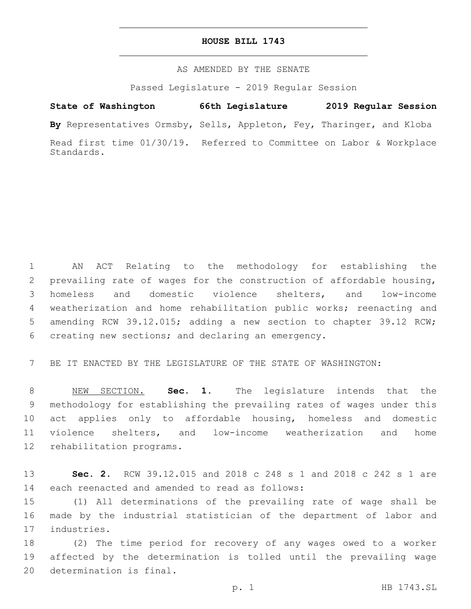#### **HOUSE BILL 1743**

#### AS AMENDED BY THE SENATE

Passed Legislature - 2019 Regular Session

# **State of Washington 66th Legislature 2019 Regular Session**

**By** Representatives Ormsby, Sells, Appleton, Fey, Tharinger, and Kloba

Read first time 01/30/19. Referred to Committee on Labor & Workplace Standards.

 AN ACT Relating to the methodology for establishing the prevailing rate of wages for the construction of affordable housing, homeless and domestic violence shelters, and low-income weatherization and home rehabilitation public works; reenacting and amending RCW 39.12.015; adding a new section to chapter 39.12 RCW; 6 creating new sections; and declaring an emergency.

7 BE IT ENACTED BY THE LEGISLATURE OF THE STATE OF WASHINGTON:

 NEW SECTION. **Sec. 1.** The legislature intends that the methodology for establishing the prevailing rates of wages under this act applies only to affordable housing, homeless and domestic violence shelters, and low-income weatherization and home rehabilitation programs.

13 **Sec. 2.** RCW 39.12.015 and 2018 c 248 s 1 and 2018 c 242 s 1 are 14 each reenacted and amended to read as follows:

15 (1) All determinations of the prevailing rate of wage shall be 16 made by the industrial statistician of the department of labor and 17 industries.

18 (2) The time period for recovery of any wages owed to a worker 19 affected by the determination is tolled until the prevailing wage 20 determination is final.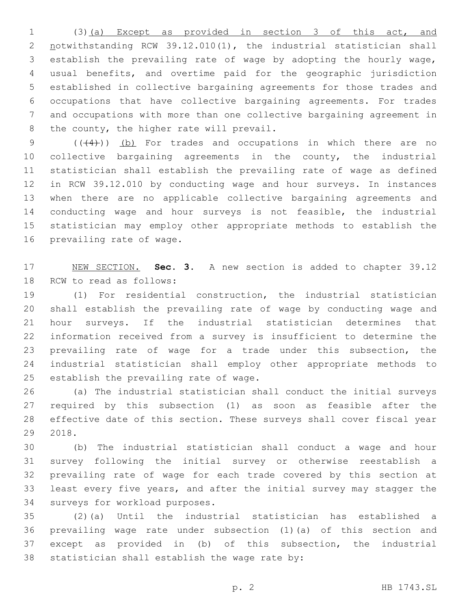(3)(a) Except as provided in section 3 of this act, and notwithstanding RCW 39.12.010(1), the industrial statistician shall establish the prevailing rate of wage by adopting the hourly wage, usual benefits, and overtime paid for the geographic jurisdiction established in collective bargaining agreements for those trades and occupations that have collective bargaining agreements. For trades and occupations with more than one collective bargaining agreement in 8 the county, the higher rate will prevail.

 $((+4))$  (b) For trades and occupations in which there are no collective bargaining agreements in the county, the industrial statistician shall establish the prevailing rate of wage as defined in RCW 39.12.010 by conducting wage and hour surveys. In instances when there are no applicable collective bargaining agreements and conducting wage and hour surveys is not feasible, the industrial statistician may employ other appropriate methods to establish the 16 prevailing rate of wage.

 NEW SECTION. **Sec. 3.** A new section is added to chapter 39.12 18 RCW to read as follows:

 (1) For residential construction, the industrial statistician shall establish the prevailing rate of wage by conducting wage and hour surveys. If the industrial statistician determines that information received from a survey is insufficient to determine the prevailing rate of wage for a trade under this subsection, the industrial statistician shall employ other appropriate methods to 25 establish the prevailing rate of wage.

 (a) The industrial statistician shall conduct the initial surveys required by this subsection (1) as soon as feasible after the effective date of this section. These surveys shall cover fiscal year 2018.

 (b) The industrial statistician shall conduct a wage and hour survey following the initial survey or otherwise reestablish a prevailing rate of wage for each trade covered by this section at least every five years, and after the initial survey may stagger the 34 surveys for workload purposes.

 (2)(a) Until the industrial statistician has established a prevailing wage rate under subsection (1)(a) of this section and except as provided in (b) of this subsection, the industrial 38 statistician shall establish the wage rate by: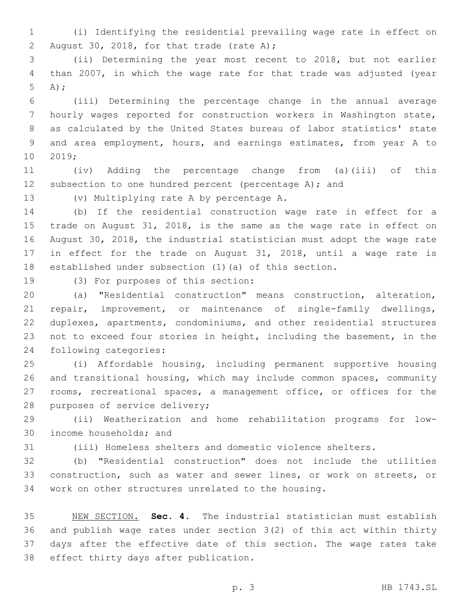- (i) Identifying the residential prevailing wage rate in effect on 2 August 30, 2018, for that trade (rate A);
- (ii) Determining the year most recent to 2018, but not earlier than 2007, in which the wage rate for that trade was adjusted (year A);
- (iii) Determining the percentage change in the annual average hourly wages reported for construction workers in Washington state, as calculated by the United States bureau of labor statistics' state and area employment, hours, and earnings estimates, from year A to 10 2019;
- (iv) Adding the percentage change from (a)(iii) of this 12 subsection to one hundred percent (percentage A); and

(v) Multiplying rate A by percentage A.13

 (b) If the residential construction wage rate in effect for a trade on August 31, 2018, is the same as the wage rate in effect on August 30, 2018, the industrial statistician must adopt the wage rate in effect for the trade on August 31, 2018, until a wage rate is established under subsection (1)(a) of this section.

19 (3) For purposes of this section:

- (a) "Residential construction" means construction, alteration, repair, improvement, or maintenance of single-family dwellings, duplexes, apartments, condominiums, and other residential structures not to exceed four stories in height, including the basement, in the 24 following categories:
- (i) Affordable housing, including permanent supportive housing and transitional housing, which may include common spaces, community rooms, recreational spaces, a management office, or offices for the 28 purposes of service delivery;
- (ii) Weatherization and home rehabilitation programs for low-30 income households; and
- 

(iii) Homeless shelters and domestic violence shelters.

 (b) "Residential construction" does not include the utilities construction, such as water and sewer lines, or work on streets, or work on other structures unrelated to the housing.

 NEW SECTION. **Sec. 4.** The industrial statistician must establish and publish wage rates under section 3(2) of this act within thirty days after the effective date of this section. The wage rates take effect thirty days after publication.